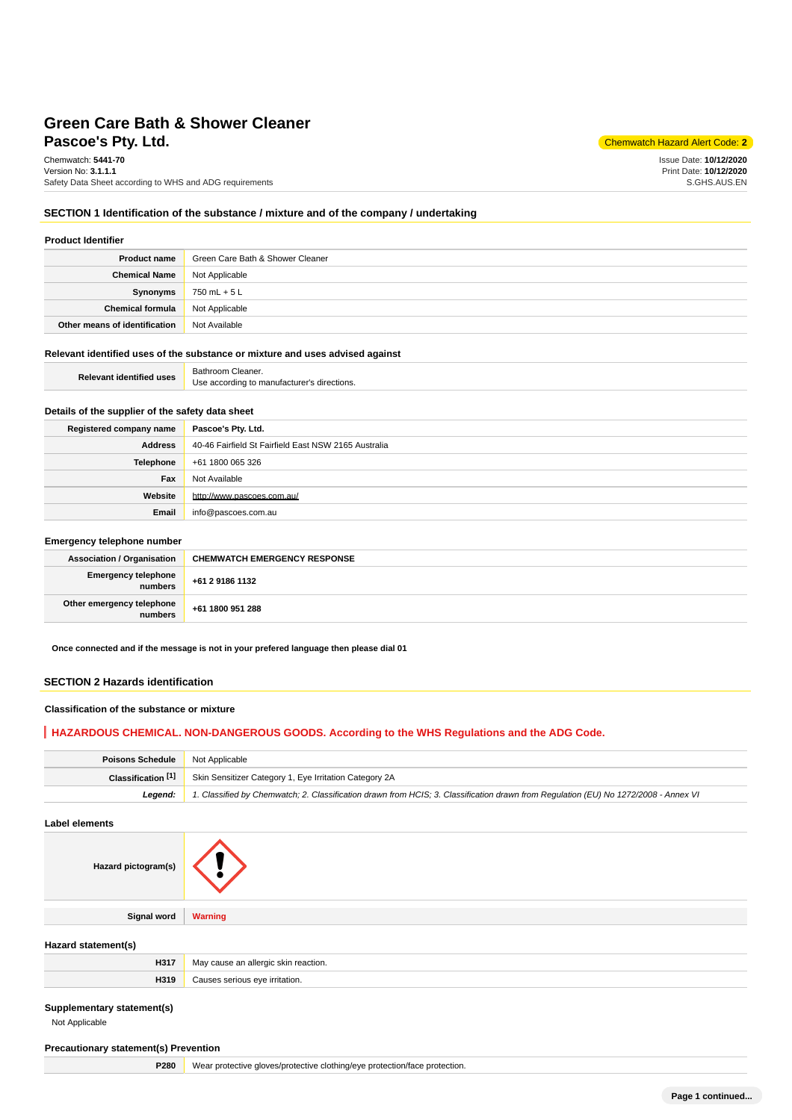# **Pascoe's Pty. Ltd.** Chemwatch Hazard Alert Code: **2 Green Care Bath & Shower Cleaner**

Chemwatch: **5441-70** Version No: **3.1.1.1** Safety Data Sheet according to WHS and ADG requirements

Issue Date: **10/12/2020** Print Date: **10/12/2020** S.GHS.AUS.EN

### **SECTION 1 Identification of the substance / mixture and of the company / undertaking**

| <b>Product Identifier</b>     |                                  |
|-------------------------------|----------------------------------|
| <b>Product name</b>           | Green Care Bath & Shower Cleaner |
| <b>Chemical Name</b>          | Not Applicable                   |
| Synonyms                      | 750 mL + 5 L                     |
| <b>Chemical formula</b>       | Not Applicable                   |
| Other means of identification | Not Available                    |

## **Relevant identified uses of the substance or mixture and uses advised against**

| Rel<br>uses<br>evant<br><b>Haenfified</b> | Cleaner.<br>Bathroom.                              |
|-------------------------------------------|----------------------------------------------------|
|                                           | directions.<br>Jse<br>to manufacturer נ<br>cordina |

## **Details of the supplier of the safety data sheet**

| Registered company name | Pascoe's Pty. Ltd.                                   |
|-------------------------|------------------------------------------------------|
| Address                 | 40-46 Fairfield St Fairfield East NSW 2165 Australia |
| Telephone               | +61 1800 065 326                                     |
| Fax                     | Not Available                                        |
| Website                 | http://www.pascoes.com.au/                           |
| Email                   | info@pascoes.com.au                                  |

#### **Emergency telephone number**

| <b>Association / Organisation</b>    | <b>CHEMWATCH EMERGENCY RESPONSE</b> |
|--------------------------------------|-------------------------------------|
| Emergency telephone<br>numbers       | +61 2 9186 1132                     |
| Other emergency telephone<br>numbers | +61 1800 951 288                    |

**Once connected and if the message is not in your prefered language then please dial 01**

### **SECTION 2 Hazards identification**

#### **Classification of the substance or mixture**

### **HAZARDOUS CHEMICAL. NON-DANGEROUS GOODS. According to the WHS Regulations and the ADG Code.**

| <b>Poisons Schedule</b> Not Applicable |                                                                                                                                     |
|----------------------------------------|-------------------------------------------------------------------------------------------------------------------------------------|
| Classification [1]                     | Skin Sensitizer Category 1, Eye Irritation Category 2A                                                                              |
| Leaend:                                | 1. Classified by Chemwatch; 2. Classification drawn from HCIS; 3. Classification drawn from Requlation (EU) No 1272/2008 - Annex VI |

### **Label elements**

| Hazard pictogram(s) |                |
|---------------------|----------------|
|                     |                |
| Signal word         | <b>Warning</b> |

### **Hazard statement(s)**

| H317 | cause an allergic skin reaction.<br>Ma |
|------|----------------------------------------|
| H319 | Causes serious eve irritation.         |

#### **Supplementary statement(s)**

Not Applicable

### **Precautionary statement(s) Prevention**

**P280** Wear protective gloves/protective clothing/eye protection/face protection.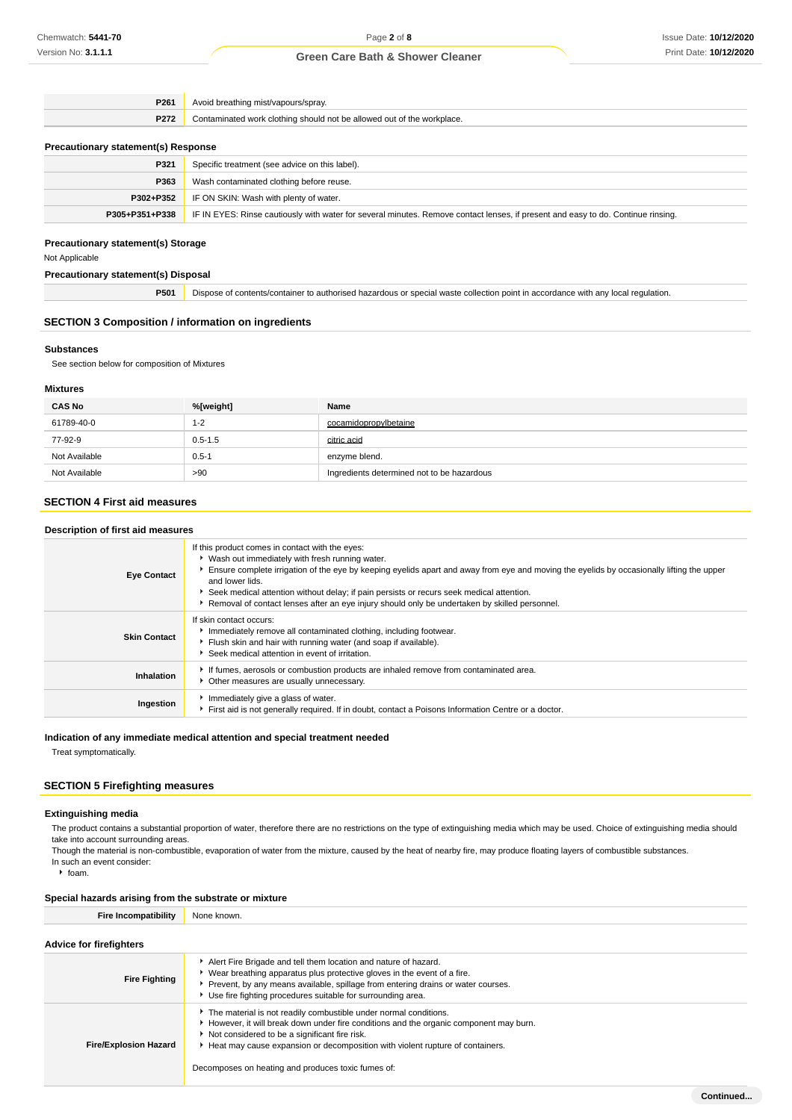| P261                                       | Avoid breathing mist/vapours/spray.                                    |  |
|--------------------------------------------|------------------------------------------------------------------------|--|
| P272                                       | Contaminated work clothing should not be allowed out of the workplace. |  |
| <b>Precautionary statement(s) Response</b> |                                                                        |  |
| P321                                       | Specific treatment (see advice on this label).                         |  |
| P363                                       | Wash contaminated clothing before reuse.                               |  |
|                                            |                                                                        |  |

| <b>P302+P352</b> IF ON SKIN: Wash with plenty of water.                                                                                           |
|---------------------------------------------------------------------------------------------------------------------------------------------------|
| P305+P351+P338   IF IN EYES: Rinse cautiously with water for several minutes. Remove contact lenses, if present and easy to do. Continue rinsing. |
|                                                                                                                                                   |

# **Precautionary statement(s) Storage**

Not Applicable

### **Precautionary statement(s) Disposal**

**P501** Dispose of contents/container to authorised hazardous or special waste collection point in accordance with any local regulation.

## **SECTION 3 Composition / information on ingredients**

#### **Substances**

See section below for composition of Mixtures

### **Mixtures**

| <b>CAS No</b> | %[weight]   | Name                                       |
|---------------|-------------|--------------------------------------------|
| 61789-40-0    | $1 - 2$     | cocamidopropylbetaine                      |
| 77-92-9       | $0.5 - 1.5$ | citric acid                                |
| Not Available | $0.5 - 1$   | enzyme blend.                              |
| Not Available | >90         | Ingredients determined not to be hazardous |

# **SECTION 4 First aid measures**

### **Description of first aid measures**

| <b>Eye Contact</b>  | If this product comes in contact with the eyes:<br>▶ Wash out immediately with fresh running water.<br>Ensure complete irrigation of the eye by keeping eyelids apart and away from eye and moving the eyelids by occasionally lifting the upper<br>and lower lids.<br>Seek medical attention without delay; if pain persists or recurs seek medical attention.<br>Removal of contact lenses after an eye injury should only be undertaken by skilled personnel. |
|---------------------|------------------------------------------------------------------------------------------------------------------------------------------------------------------------------------------------------------------------------------------------------------------------------------------------------------------------------------------------------------------------------------------------------------------------------------------------------------------|
| <b>Skin Contact</b> | If skin contact occurs:<br>Immediately remove all contaminated clothing, including footwear.<br>Flush skin and hair with running water (and soap if available).<br>Seek medical attention in event of irritation.                                                                                                                                                                                                                                                |
| Inhalation          | If fumes, aerosols or combustion products are inhaled remove from contaminated area.<br>Other measures are usually unnecessary.                                                                                                                                                                                                                                                                                                                                  |
| Ingestion           | Immediately give a glass of water.<br>First aid is not generally required. If in doubt, contact a Poisons Information Centre or a doctor.                                                                                                                                                                                                                                                                                                                        |

#### **Indication of any immediate medical attention and special treatment needed**

Treat symptomatically.

# **SECTION 5 Firefighting measures**

#### **Extinguishing media**

The product contains a substantial proportion of water, therefore there are no restrictions on the type of extinguishing media which may be used. Choice of extinguishing media should take into account surrounding areas.

Though the material is non-combustible, evaporation of water from the mixture, caused by the heat of nearby fire, may produce floating layers of combustible substances. In such an event consider:

 $h$  foam.

### **Special hazards arising from the substrate or mixture**

**Fire Incompatibility** None known.

### **Advice for firefighters**

| <b>Fire Fighting</b>         | Alert Fire Brigade and tell them location and nature of hazard.<br>Wear breathing apparatus plus protective gloves in the event of a fire.<br>Prevent, by any means available, spillage from entering drains or water courses.<br>Use fire fighting procedures suitable for surrounding area.                                                     |
|------------------------------|---------------------------------------------------------------------------------------------------------------------------------------------------------------------------------------------------------------------------------------------------------------------------------------------------------------------------------------------------|
| <b>Fire/Explosion Hazard</b> | The material is not readily combustible under normal conditions.<br>However, it will break down under fire conditions and the organic component may burn.<br>Not considered to be a significant fire risk.<br>Heat may cause expansion or decomposition with violent rupture of containers.<br>Decomposes on heating and produces toxic fumes of: |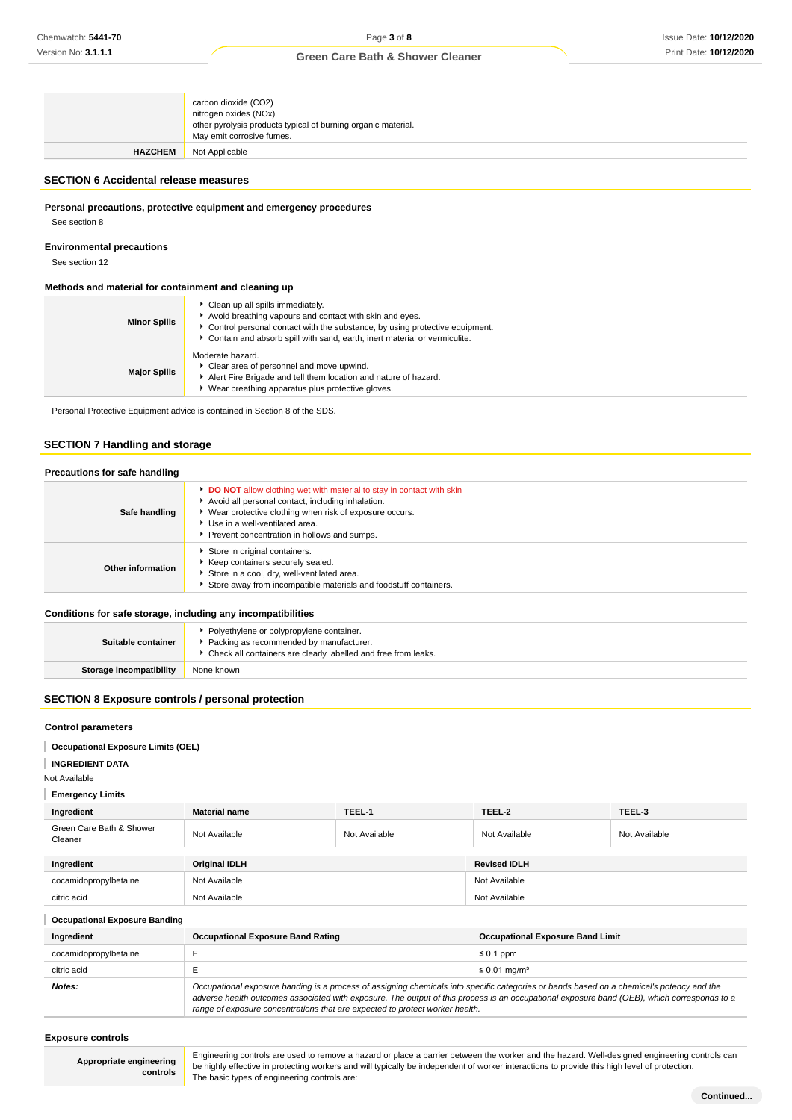|                | carbon dioxide (CO2)<br>nitrogen oxides (NOx)<br>other pyrolysis products typical of burning organic material.<br>May emit corrosive fumes. |
|----------------|---------------------------------------------------------------------------------------------------------------------------------------------|
| <b>HAZCHEM</b> | Not Applicable                                                                                                                              |

### **SECTION 6 Accidental release measures**

**Personal precautions, protective equipment and emergency procedures**

See section 8

#### **Environmental precautions**

See section 12

#### **Methods and material for containment and cleaning up**

| <b>Minor Spills</b> | Clean up all spills immediately.<br>Avoid breathing vapours and contact with skin and eyes.<br>Control personal contact with the substance, by using protective equipment.<br>Contain and absorb spill with sand, earth, inert material or vermiculite. |
|---------------------|---------------------------------------------------------------------------------------------------------------------------------------------------------------------------------------------------------------------------------------------------------|
| <b>Major Spills</b> | Moderate hazard.<br>Clear area of personnel and move upwind.<br>Alert Fire Brigade and tell them location and nature of hazard.<br>Wear breathing apparatus plus protective gloves.                                                                     |

Personal Protective Equipment advice is contained in Section 8 of the SDS.

## **SECTION 7 Handling and storage**

### **Precautions for safe handling**

| Safe handling     | <b>DO NOT</b> allow clothing wet with material to stay in contact with skin<br>Avoid all personal contact, including inhalation.<br>▶ Wear protective clothing when risk of exposure occurs.<br>Use in a well-ventilated area.<br>Prevent concentration in hollows and sumps. |
|-------------------|-------------------------------------------------------------------------------------------------------------------------------------------------------------------------------------------------------------------------------------------------------------------------------|
| Other information | Store in original containers.<br>Keep containers securely sealed.<br>Store in a cool, dry, well-ventilated area.<br>Store away from incompatible materials and foodstuff containers.                                                                                          |

#### **Conditions for safe storage, including any incompatibilities**

| Suitable container             | • Polyethylene or polypropylene container.<br>Packing as recommended by manufacturer.<br>▶ Check all containers are clearly labelled and free from leaks. |
|--------------------------------|-----------------------------------------------------------------------------------------------------------------------------------------------------------|
| <b>Storage incompatibility</b> | None known                                                                                                                                                |

## **SECTION 8 Exposure controls / personal protection**

#### **Control parameters**

**Occupational Exposure Limits (OEL)**

### **INGREDIENT DATA**

Not Available

### **Emergency Limits**

| Ingredient                          | <b>Material name</b> | TEEL-1        | TEEL-2              | TEEL-3        |
|-------------------------------------|----------------------|---------------|---------------------|---------------|
| Green Care Bath & Shower<br>Cleaner | Not Available        | Not Available | Not Available       | Not Available |
|                                     |                      |               |                     |               |
| Ingredient                          | <b>Original IDLH</b> |               | <b>Revised IDLH</b> |               |
| cocamidopropylbetaine               | Not Available        |               | Not Available       |               |
| citric acid                         | Not Available        |               | Not Available       |               |

### **Occupational Exposure Banding**

| Ingredient            | <b>Occupational Exposure Band Rating</b>                                                                                                                                                                                                                                                 | <b>Occupational Exposure Band Limit</b> |
|-----------------------|------------------------------------------------------------------------------------------------------------------------------------------------------------------------------------------------------------------------------------------------------------------------------------------|-----------------------------------------|
| cocamidopropylbetaine |                                                                                                                                                                                                                                                                                          | $\leq 0.1$ ppm                          |
| citric acid           |                                                                                                                                                                                                                                                                                          | $\leq$ 0.01 mg/m <sup>3</sup>           |
| Notes:                | Occupational exposure banding is a process of assigning chemicals into specific categories or bands based on a chemical's potency and the<br>adverse health outcomes associated with exposure. The output of this process is an occupational exposure band (OEB), which corresponds to a |                                         |

range of exposure concentrations that are expected to protect worker health.

**Exposure controls**

**Appropriate engineering controls**

Engineering controls are used to remove a hazard or place a barrier between the worker and the hazard. Well-designed engineering controls can be highly effective in protecting workers and will typically be independent of worker interactions to provide this high level of protection. The basic types of engineering controls are: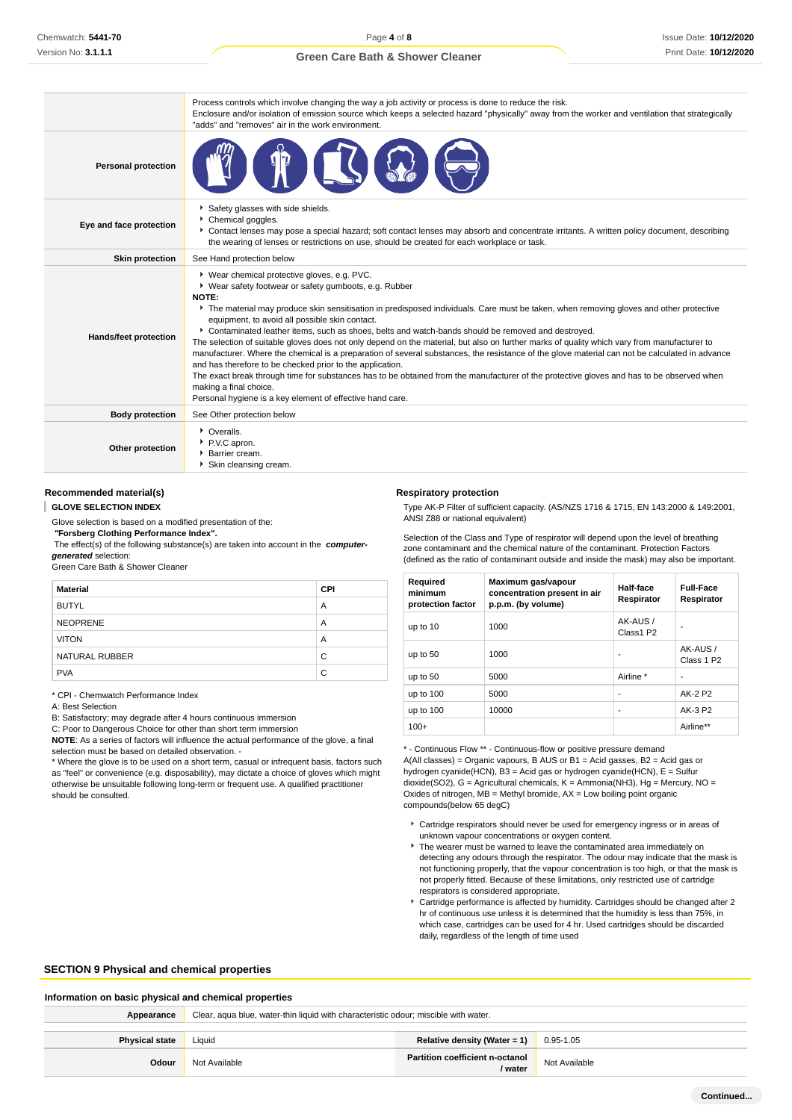Process controls which involve changing the way a job activity or process is done to reduce the risk.

|                            | Process controls which involve changing the way a job activity or process is done to require the risk.<br>Enclosure and/or isolation of emission source which keeps a selected hazard "physically" away from the worker and ventilation that strategically<br>"adds" and "removes" air in the work environment.                                                                                                                                                                                                                                                                                                                                                                                                                                                                                                                                                                                                                                                                                                            |
|----------------------------|----------------------------------------------------------------------------------------------------------------------------------------------------------------------------------------------------------------------------------------------------------------------------------------------------------------------------------------------------------------------------------------------------------------------------------------------------------------------------------------------------------------------------------------------------------------------------------------------------------------------------------------------------------------------------------------------------------------------------------------------------------------------------------------------------------------------------------------------------------------------------------------------------------------------------------------------------------------------------------------------------------------------------|
| <b>Personal protection</b> |                                                                                                                                                                                                                                                                                                                                                                                                                                                                                                                                                                                                                                                                                                                                                                                                                                                                                                                                                                                                                            |
| Eye and face protection    | Safety glasses with side shields.<br>Chemical goggles.<br>Contact lenses may pose a special hazard; soft contact lenses may absorb and concentrate irritants. A written policy document, describing<br>the wearing of lenses or restrictions on use, should be created for each workplace or task.                                                                                                                                                                                                                                                                                                                                                                                                                                                                                                                                                                                                                                                                                                                         |
| <b>Skin protection</b>     | See Hand protection below                                                                                                                                                                                                                                                                                                                                                                                                                                                                                                                                                                                                                                                                                                                                                                                                                                                                                                                                                                                                  |
| Hands/feet protection      | ▶ Wear chemical protective gloves, e.g. PVC.<br>▶ Wear safety footwear or safety gumboots, e.g. Rubber<br><b>NOTE:</b><br>The material may produce skin sensitisation in predisposed individuals. Care must be taken, when removing gloves and other protective<br>equipment, to avoid all possible skin contact.<br>▶ Contaminated leather items, such as shoes, belts and watch-bands should be removed and destroyed.<br>The selection of suitable gloves does not only depend on the material, but also on further marks of quality which vary from manufacturer to<br>manufacturer. Where the chemical is a preparation of several substances, the resistance of the glove material can not be calculated in advance<br>and has therefore to be checked prior to the application.<br>The exact break through time for substances has to be obtained from the manufacturer of the protective gloves and has to be observed when<br>making a final choice.<br>Personal hygiene is a key element of effective hand care. |
| <b>Body protection</b>     | See Other protection below                                                                                                                                                                                                                                                                                                                                                                                                                                                                                                                                                                                                                                                                                                                                                                                                                                                                                                                                                                                                 |
| Other protection           | • Overalls.<br>P.V.C apron.<br>▶ Barrier cream.<br>Skin cleansing cream.                                                                                                                                                                                                                                                                                                                                                                                                                                                                                                                                                                                                                                                                                                                                                                                                                                                                                                                                                   |

#### **Recommended material(s)**

#### **GLOVE SELECTION INDEX**

Glove selection is based on a modified presentation of the:  **"Forsberg Clothing Performance Index".**

 The effect(s) of the following substance(s) are taken into account in the **computergenerated** selection:

Green Care Bath & Shower Cleaner

| <b>Material</b> | <b>CPI</b> |
|-----------------|------------|
| <b>BUTYL</b>    | A          |
| <b>NEOPRENE</b> | A          |
| <b>VITON</b>    | A          |
| NATURAL RUBBER  | C          |
| <b>PVA</b>      | C          |

\* CPI - Chemwatch Performance Index

A: Best Selection

B: Satisfactory; may degrade after 4 hours continuous immersion

C: Poor to Dangerous Choice for other than short term immersion

**NOTE**: As a series of factors will influence the actual performance of the glove, a final selection must be based on detailed observation. -

\* Where the glove is to be used on a short term, casual or infrequent basis, factors such as "feel" or convenience (e.g. disposability), may dictate a choice of gloves which might otherwise be unsuitable following long-term or frequent use. A qualified practitioner should be consulted.

#### **Respiratory protection**

Type AK-P Filter of sufficient capacity. (AS/NZS 1716 & 1715, EN 143:2000 & 149:2001, ANSI Z88 or national equivalent)

Selection of the Class and Type of respirator will depend upon the level of breathing zone contaminant and the chemical nature of the contaminant. Protection Factors (defined as the ratio of contaminant outside and inside the mask) may also be important.

| Required<br>minimum<br>protection factor | Maximum gas/vapour<br>concentration present in air<br>p.p.m. (by volume) | Half-face<br>Respirator | <b>Full-Face</b><br>Respirator    |
|------------------------------------------|--------------------------------------------------------------------------|-------------------------|-----------------------------------|
| up to 10                                 | 1000                                                                     | AK-AUS /<br>Class1 P2   |                                   |
| up to $50$                               | 1000                                                                     |                         | AK-AUS/<br>Class 1 P <sub>2</sub> |
| up to 50                                 | 5000                                                                     | Airline *               |                                   |
| up to $100$                              | 5000                                                                     | ۰                       | AK-2 P2                           |
| up to $100$                              | 10000                                                                    | ۰                       | AK-3 P2                           |
| $100+$                                   |                                                                          |                         | Airline**                         |

\* - Continuous Flow \*\* - Continuous-flow or positive pressure demand A(All classes) = Organic vapours, B AUS or B1 = Acid gasses, B2 = Acid gas or hydrogen cyanide(HCN), B3 = Acid gas or hydrogen cyanide(HCN), E = Sulfur dioxide(SO2), G = Agricultural chemicals, K = Ammonia(NH3), Hg = Mercury, NO = Oxides of nitrogen,  $MB =$  Methyl bromide,  $AX =$  Low boiling point organic compounds(below 65 degC)

- Cartridge respirators should never be used for emergency ingress or in areas of unknown vapour concentrations or oxygen content.
- $\triangleright$  The wearer must be warned to leave the contaminated area immediately on detecting any odours through the respirator. The odour may indicate that the mask is not functioning properly, that the vapour concentration is too high, or that the mask is not properly fitted. Because of these limitations, only restricted use of cartridge respirators is considered appropriate.
- Cartridge performance is affected by humidity. Cartridges should be changed after 2 hr of continuous use unless it is determined that the humidity is less than 75%, in which case, cartridges can be used for 4 hr. Used cartridges should be discarded daily, regardless of the length of time used

#### **SECTION 9 Physical and chemical properties**

#### **Information on basic physical and chemical properties**

| Appearance            | Clear, aqua blue, water-thin liquid with characteristic odour; miscible with water. |                                                   |               |
|-----------------------|-------------------------------------------------------------------------------------|---------------------------------------------------|---------------|
|                       |                                                                                     |                                                   |               |
| <b>Physical state</b> | Liauid                                                                              | Relative density (Water = 1)                      | 0.95-1.05     |
| Odour                 | Not Available                                                                       | <b>Partition coefficient n-octanol</b><br>/ water | Not Available |
|                       |                                                                                     |                                                   |               |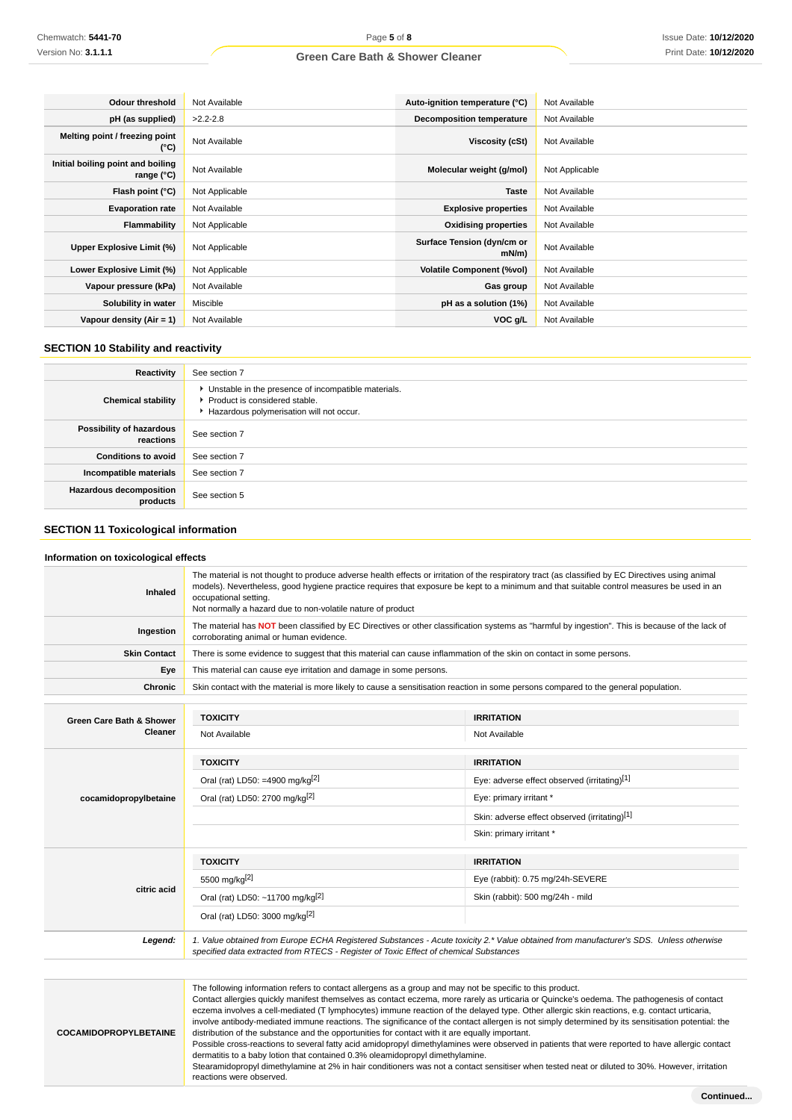| Odour threshold                                   | Not Available  | Auto-ignition temperature (°C)      | Not Available  |
|---------------------------------------------------|----------------|-------------------------------------|----------------|
| pH (as supplied)                                  | $>2.2 - 2.8$   | <b>Decomposition temperature</b>    | Not Available  |
| Melting point / freezing point<br>(°C)            | Not Available  | Viscosity (cSt)                     | Not Available  |
| Initial boiling point and boiling<br>range $(°C)$ | Not Available  | Molecular weight (g/mol)            | Not Applicable |
| Flash point (°C)                                  | Not Applicable | <b>Taste</b>                        | Not Available  |
| <b>Evaporation rate</b>                           | Not Available  | <b>Explosive properties</b>         | Not Available  |
| Flammability                                      | Not Applicable | <b>Oxidising properties</b>         | Not Available  |
| Upper Explosive Limit (%)                         | Not Applicable | Surface Tension (dyn/cm or<br>mN/m) | Not Available  |
| Lower Explosive Limit (%)                         | Not Applicable | <b>Volatile Component (%vol)</b>    | Not Available  |
| Vapour pressure (kPa)                             | Not Available  | Gas group                           | Not Available  |
| Solubility in water                               | Miscible       | pH as a solution (1%)               | Not Available  |
| Vapour density $(Air = 1)$                        | Not Available  | VOC g/L                             | Not Available  |

## **SECTION 10 Stability and reactivity**

| Reactivity                                 | See section 7                                                                                                                      |
|--------------------------------------------|------------------------------------------------------------------------------------------------------------------------------------|
| <b>Chemical stability</b>                  | • Unstable in the presence of incompatible materials.<br>Product is considered stable.<br>Hazardous polymerisation will not occur. |
| Possibility of hazardous<br>reactions      | See section 7                                                                                                                      |
| <b>Conditions to avoid</b>                 | See section 7                                                                                                                      |
| Incompatible materials                     | See section 7                                                                                                                      |
| <b>Hazardous decomposition</b><br>products | See section 5                                                                                                                      |

### **SECTION 11 Toxicological information**

#### **Information on toxicological effects**

| Inhaled                             | The material is not thought to produce adverse health effects or irritation of the respiratory tract (as classified by EC Directives using animal<br>models). Nevertheless, good hygiene practice requires that exposure be kept to a minimum and that suitable control measures be used in an<br>occupational setting.<br>Not normally a hazard due to non-volatile nature of product |                                                                                                                                        |  |
|-------------------------------------|----------------------------------------------------------------------------------------------------------------------------------------------------------------------------------------------------------------------------------------------------------------------------------------------------------------------------------------------------------------------------------------|----------------------------------------------------------------------------------------------------------------------------------------|--|
| Ingestion                           | The material has NOT been classified by EC Directives or other classification systems as "harmful by ingestion". This is because of the lack of<br>corroborating animal or human evidence.                                                                                                                                                                                             |                                                                                                                                        |  |
| <b>Skin Contact</b>                 | There is some evidence to suggest that this material can cause inflammation of the skin on contact in some persons.                                                                                                                                                                                                                                                                    |                                                                                                                                        |  |
| Eye                                 | This material can cause eye irritation and damage in some persons.                                                                                                                                                                                                                                                                                                                     |                                                                                                                                        |  |
| <b>Chronic</b>                      | Skin contact with the material is more likely to cause a sensitisation reaction in some persons compared to the general population.                                                                                                                                                                                                                                                    |                                                                                                                                        |  |
|                                     |                                                                                                                                                                                                                                                                                                                                                                                        |                                                                                                                                        |  |
| <b>Green Care Bath &amp; Shower</b> | <b>TOXICITY</b>                                                                                                                                                                                                                                                                                                                                                                        | <b>IRRITATION</b>                                                                                                                      |  |
| <b>Cleaner</b>                      | Not Available                                                                                                                                                                                                                                                                                                                                                                          | Not Available                                                                                                                          |  |
|                                     | <b>TOXICITY</b>                                                                                                                                                                                                                                                                                                                                                                        | <b>IRRITATION</b>                                                                                                                      |  |
|                                     | Oral (rat) LD50: =4900 mg/kg <sup>[2]</sup>                                                                                                                                                                                                                                                                                                                                            | Eye: adverse effect observed (irritating)[1]                                                                                           |  |
| cocamidopropylbetaine               | Oral (rat) LD50: 2700 mg/kg <sup>[2]</sup>                                                                                                                                                                                                                                                                                                                                             | Eye: primary irritant *                                                                                                                |  |
|                                     |                                                                                                                                                                                                                                                                                                                                                                                        | Skin: adverse effect observed (irritating)[1]                                                                                          |  |
|                                     |                                                                                                                                                                                                                                                                                                                                                                                        | Skin: primary irritant *                                                                                                               |  |
|                                     | <b>TOXICITY</b>                                                                                                                                                                                                                                                                                                                                                                        | <b>IRRITATION</b>                                                                                                                      |  |
|                                     | 5500 mg/kg <sup>[2]</sup>                                                                                                                                                                                                                                                                                                                                                              | Eye (rabbit): 0.75 mg/24h-SEVERE                                                                                                       |  |
| citric acid                         | Oral (rat) LD50: ~11700 mg/kg <sup>[2]</sup>                                                                                                                                                                                                                                                                                                                                           | Skin (rabbit): 500 mg/24h - mild                                                                                                       |  |
|                                     | Oral (rat) LD50: 3000 mg/kg <sup>[2]</sup>                                                                                                                                                                                                                                                                                                                                             |                                                                                                                                        |  |
| Legend:                             | specified data extracted from RTECS - Register of Toxic Effect of chemical Substances                                                                                                                                                                                                                                                                                                  | 1. Value obtained from Europe ECHA Registered Substances - Acute toxicity 2.* Value obtained from manufacturer's SDS. Unless otherwise |  |

**COCAMIDOPROPYLBETAINE** The following information refers to contact allergens as a group and may not be specific to this product. Contact allergies quickly manifest themselves as contact eczema, more rarely as urticaria or Quincke's oedema. The pathogenesis of contact eczema involves a cell-mediated (T lymphocytes) immune reaction of the delayed type. Other allergic skin reactions, e.g. contact urticaria, involve antibody-mediated immune reactions. The significance of the contact allergen is not simply determined by its sensitisation potential: the distribution of the substance and the opportunities for contact with it are equally important. Possible cross-reactions to several fatty acid amidopropyl dimethylamines were observed in patients that were reported to have allergic contact dermatitis to a baby lotion that contained 0.3% oleamidopropyl dimethylamine. Stearamidopropyl dimethylamine at 2% in hair conditioners was not a contact sensitiser when tested neat or diluted to 30%. However, irritation

reactions were observed.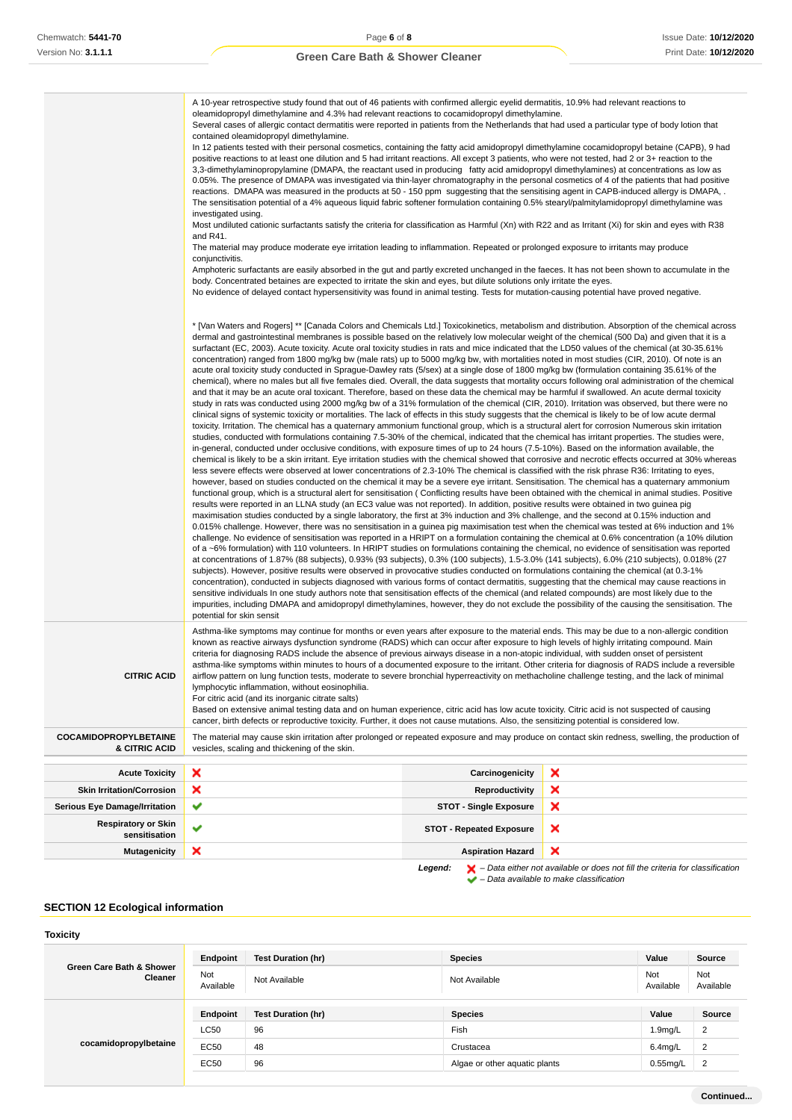|                                               | A 10-year retrospective study found that out of 46 patients with confirmed allergic eyelid dermatitis, 10.9% had relevant reactions to<br>oleamidopropyl dimethylamine and 4.3% had relevant reactions to cocamidopropyl dimethylamine.<br>Several cases of allergic contact dermatitis were reported in patients from the Netherlands that had used a particular type of body lotion that<br>contained oleamidopropyl dimethylamine.<br>In 12 patients tested with their personal cosmetics, containing the fatty acid amidopropyl dimethylamine cocamidopropyl betaine (CAPB), 9 had<br>positive reactions to at least one dilution and 5 had irritant reactions. All except 3 patients, who were not tested, had 2 or 3+ reaction to the<br>3,3-dimethylaminopropylamine (DMAPA, the reactant used in producing fatty acid amidopropyl dimethylamines) at concentrations as low as<br>0.05%. The presence of DMAPA was investigated via thin-layer chromatography in the personal cosmetics of 4 of the patients that had positive<br>reactions. DMAPA was measured in the products at 50 - 150 ppm suggesting that the sensitising agent in CAPB-induced allergy is DMAPA, .<br>The sensitisation potential of a 4% aqueous liquid fabric softener formulation containing 0.5% stearyl/palmitylamidopropyl dimethylamine was<br>investigated using.<br>Most undiluted cationic surfactants satisfy the criteria for classification as Harmful (Xn) with R22 and as Irritant (Xi) for skin and eyes with R38<br>and R41.<br>The material may produce moderate eye irritation leading to inflammation. Repeated or prolonged exposure to irritants may produce<br>conjunctivitis.<br>Amphoteric surfactants are easily absorbed in the gut and partly excreted unchanged in the faeces. It has not been shown to accumulate in the<br>body. Concentrated betaines are expected to irritate the skin and eyes, but dilute solutions only irritate the eyes.<br>No evidence of delayed contact hypersensitivity was found in animal testing. Tests for mutation-causing potential have proved negative.                                                                                                                                                                                                                                                                                                                                                                                                                                                                                                                                                                                                                                                                                                                                                                                                                                                                                                                                                                                                                                                                                                                                                                                                                                                                                                                                                                                                                                                                                                                                                                                                                                                                                                                                                                                                                                                    |                                 |   |  |
|-----------------------------------------------|------------------------------------------------------------------------------------------------------------------------------------------------------------------------------------------------------------------------------------------------------------------------------------------------------------------------------------------------------------------------------------------------------------------------------------------------------------------------------------------------------------------------------------------------------------------------------------------------------------------------------------------------------------------------------------------------------------------------------------------------------------------------------------------------------------------------------------------------------------------------------------------------------------------------------------------------------------------------------------------------------------------------------------------------------------------------------------------------------------------------------------------------------------------------------------------------------------------------------------------------------------------------------------------------------------------------------------------------------------------------------------------------------------------------------------------------------------------------------------------------------------------------------------------------------------------------------------------------------------------------------------------------------------------------------------------------------------------------------------------------------------------------------------------------------------------------------------------------------------------------------------------------------------------------------------------------------------------------------------------------------------------------------------------------------------------------------------------------------------------------------------------------------------------------------------------------------------------------------------------------------------------------------------------------------------------------------------------------------------------------------------------------------------------------------------------------------------------------------------------------------------------------------------------------------------------------------------------------------------------------------------------------------------------------------------------------------------------------------------------------------------------------------------------------------------------------------------------------------------------------------------------------------------------------------------------------------------------------------------------------------------------------------------------------------------------------------------------------------------------------------------------------------------------------------------------------------------------------------------------------------------------------------------------------------------------------------------------------------------------------------------------------------------------------------------------------------------------------------------------------------------------------------------------------------------------------------------------------------------------------------------------------------------------------------------------------------------------------------------------------------------------------------------------------------------------------------------------------------------------------------------------------------------------------------------------------------------|---------------------------------|---|--|
|                                               | * [Van Waters and Rogers] ** [Canada Colors and Chemicals Ltd.] Toxicokinetics, metabolism and distribution. Absorption of the chemical across<br>dermal and gastrointestinal membranes is possible based on the relatively low molecular weight of the chemical (500 Da) and given that it is a<br>surfactant (EC, 2003). Acute toxicity. Acute oral toxicity studies in rats and mice indicated that the LD50 values of the chemical (at 30-35.61%<br>concentration) ranged from 1800 mg/kg bw (male rats) up to 5000 mg/kg bw, with mortalities noted in most studies (CIR, 2010). Of note is an<br>acute oral toxicity study conducted in Sprague-Dawley rats (5/sex) at a single dose of 1800 mg/kg bw (formulation containing 35.61% of the<br>chemical), where no males but all five females died. Overall, the data suggests that mortality occurs following oral administration of the chemical<br>and that it may be an acute oral toxicant. Therefore, based on these data the chemical may be harmful if swallowed. An acute dermal toxicity<br>study in rats was conducted using 2000 mg/kg bw of a 31% formulation of the chemical (CIR, 2010). Irritation was observed, but there were no<br>clinical signs of systemic toxicity or mortalities. The lack of effects in this study suggests that the chemical is likely to be of low acute dermal<br>toxicity. Irritation. The chemical has a quaternary ammonium functional group, which is a structural alert for corrosion Numerous skin irritation<br>studies, conducted with formulations containing 7.5-30% of the chemical, indicated that the chemical has irritant properties. The studies were,<br>in-general, conducted under occlusive conditions, with exposure times of up to 24 hours (7.5-10%). Based on the information available, the<br>chemical is likely to be a skin irritant. Eye irritation studies with the chemical showed that corrosive and necrotic effects occurred at 30% whereas<br>less severe effects were observed at lower concentrations of 2.3-10% The chemical is classified with the risk phrase R36: Irritating to eyes,<br>however, based on studies conducted on the chemical it may be a severe eye irritant. Sensitisation. The chemical has a quaternary ammonium<br>functional group, which is a structural alert for sensitisation (Conflicting results have been obtained with the chemical in animal studies. Positive<br>results were reported in an LLNA study (an EC3 value was not reported). In addition, positive results were obtained in two guinea pig<br>maximisation studies conducted by a single laboratory, the first at 3% induction and 3% challenge, and the second at 0.15% induction and<br>0.015% challenge. However, there was no sensitisation in a guinea pig maximisation test when the chemical was tested at 6% induction and 1%<br>challenge. No evidence of sensitisation was reported in a HRIPT on a formulation containing the chemical at 0.6% concentration (a 10% dilution<br>of a ~6% formulation) with 110 volunteers. In HRIPT studies on formulations containing the chemical, no evidence of sensitisation was reported<br>at concentrations of 1.87% (88 subjects), 0.93% (93 subjects), 0.3% (100 subjects), 1.5-3.0% (141 subjects), 6.0% (210 subjects), 0.018% (27<br>subjects). However, positive results were observed in provocative studies conducted on formulations containing the chemical (at 0.3-1%<br>concentration), conducted in subjects diagnosed with various forms of contact dermatitis, suggesting that the chemical may cause reactions in<br>sensitive individuals In one study authors note that sensitisation effects of the chemical (and related compounds) are most likely due to the<br>impurities, including DMAPA and amidopropyl dimethylamines, however, they do not exclude the possibility of the causing the sensitisation. The<br>potential for skin sensit |                                 |   |  |
| <b>CITRIC ACID</b>                            | Asthma-like symptoms may continue for months or even years after exposure to the material ends. This may be due to a non-allergic condition<br>known as reactive airways dysfunction syndrome (RADS) which can occur after exposure to high levels of highly irritating compound. Main<br>criteria for diagnosing RADS include the absence of previous airways disease in a non-atopic individual, with sudden onset of persistent<br>asthma-like symptoms within minutes to hours of a documented exposure to the irritant. Other criteria for diagnosis of RADS include a reversible<br>airflow pattern on lung function tests, moderate to severe bronchial hyperreactivity on methacholine challenge testing, and the lack of minimal<br>lymphocytic inflammation, without eosinophilia.<br>For citric acid (and its inorganic citrate salts)<br>Based on extensive animal testing data and on human experience, citric acid has low acute toxicity. Citric acid is not suspected of causing<br>cancer, birth defects or reproductive toxicity. Further, it does not cause mutations. Also, the sensitizing potential is considered low.                                                                                                                                                                                                                                                                                                                                                                                                                                                                                                                                                                                                                                                                                                                                                                                                                                                                                                                                                                                                                                                                                                                                                                                                                                                                                                                                                                                                                                                                                                                                                                                                                                                                                                                                                                                                                                                                                                                                                                                                                                                                                                                                                                                                                                                                                                                                                                                                                                                                                                                                                                                                                                                                                                                                                                                                               |                                 |   |  |
| <b>COCAMIDOPROPYLBETAINE</b><br>& CITRIC ACID | The material may cause skin irritation after prolonged or repeated exposure and may produce on contact skin redness, swelling, the production of<br>vesicles, scaling and thickening of the skin.                                                                                                                                                                                                                                                                                                                                                                                                                                                                                                                                                                                                                                                                                                                                                                                                                                                                                                                                                                                                                                                                                                                                                                                                                                                                                                                                                                                                                                                                                                                                                                                                                                                                                                                                                                                                                                                                                                                                                                                                                                                                                                                                                                                                                                                                                                                                                                                                                                                                                                                                                                                                                                                                                                                                                                                                                                                                                                                                                                                                                                                                                                                                                                                                                                                                                                                                                                                                                                                                                                                                                                                                                                                                                                                                                          |                                 |   |  |
| <b>Acute Toxicity</b>                         | ×                                                                                                                                                                                                                                                                                                                                                                                                                                                                                                                                                                                                                                                                                                                                                                                                                                                                                                                                                                                                                                                                                                                                                                                                                                                                                                                                                                                                                                                                                                                                                                                                                                                                                                                                                                                                                                                                                                                                                                                                                                                                                                                                                                                                                                                                                                                                                                                                                                                                                                                                                                                                                                                                                                                                                                                                                                                                                                                                                                                                                                                                                                                                                                                                                                                                                                                                                                                                                                                                                                                                                                                                                                                                                                                                                                                                                                                                                                                                                          | Carcinogenicity                 | × |  |
| <b>Skin Irritation/Corrosion</b>              | ×                                                                                                                                                                                                                                                                                                                                                                                                                                                                                                                                                                                                                                                                                                                                                                                                                                                                                                                                                                                                                                                                                                                                                                                                                                                                                                                                                                                                                                                                                                                                                                                                                                                                                                                                                                                                                                                                                                                                                                                                                                                                                                                                                                                                                                                                                                                                                                                                                                                                                                                                                                                                                                                                                                                                                                                                                                                                                                                                                                                                                                                                                                                                                                                                                                                                                                                                                                                                                                                                                                                                                                                                                                                                                                                                                                                                                                                                                                                                                          | Reproductivity                  | × |  |
| <b>Serious Eye Damage/Irritation</b>          | ✔                                                                                                                                                                                                                                                                                                                                                                                                                                                                                                                                                                                                                                                                                                                                                                                                                                                                                                                                                                                                                                                                                                                                                                                                                                                                                                                                                                                                                                                                                                                                                                                                                                                                                                                                                                                                                                                                                                                                                                                                                                                                                                                                                                                                                                                                                                                                                                                                                                                                                                                                                                                                                                                                                                                                                                                                                                                                                                                                                                                                                                                                                                                                                                                                                                                                                                                                                                                                                                                                                                                                                                                                                                                                                                                                                                                                                                                                                                                                                          | <b>STOT - Single Exposure</b>   | × |  |
| <b>Respiratory or Skin</b><br>sensitisation   | ✔                                                                                                                                                                                                                                                                                                                                                                                                                                                                                                                                                                                                                                                                                                                                                                                                                                                                                                                                                                                                                                                                                                                                                                                                                                                                                                                                                                                                                                                                                                                                                                                                                                                                                                                                                                                                                                                                                                                                                                                                                                                                                                                                                                                                                                                                                                                                                                                                                                                                                                                                                                                                                                                                                                                                                                                                                                                                                                                                                                                                                                                                                                                                                                                                                                                                                                                                                                                                                                                                                                                                                                                                                                                                                                                                                                                                                                                                                                                                                          | <b>STOT - Repeated Exposure</b> | x |  |
| <b>Mutagenicity</b>                           | ×                                                                                                                                                                                                                                                                                                                                                                                                                                                                                                                                                                                                                                                                                                                                                                                                                                                                                                                                                                                                                                                                                                                                                                                                                                                                                                                                                                                                                                                                                                                                                                                                                                                                                                                                                                                                                                                                                                                                                                                                                                                                                                                                                                                                                                                                                                                                                                                                                                                                                                                                                                                                                                                                                                                                                                                                                                                                                                                                                                                                                                                                                                                                                                                                                                                                                                                                                                                                                                                                                                                                                                                                                                                                                                                                                                                                                                                                                                                                                          | <b>Aspiration Hazard</b>        | × |  |

**Legend:**  $\mathbf{X}$  – Data either not available or does not fill the criteria for classification

– Data available to make classification

# **SECTION 12 Ecological information**

**Toxicity**

| Green Care Bath & Shower<br>Cleaner | Endpoint         | <b>Test Duration (hr)</b> | <b>Species</b>                | Value            | Source           |
|-------------------------------------|------------------|---------------------------|-------------------------------|------------------|------------------|
|                                     | Not<br>Available | Not Available             | Not Available                 | Not<br>Available | Not<br>Available |
| cocamidopropylbetaine               | Endpoint         | <b>Test Duration (hr)</b> | <b>Species</b>                | Value            | Source           |
|                                     | LC50             | 96                        | Fish                          | 1.9mg/L          | $\overline{2}$   |
|                                     | EC50             | 48                        | Crustacea                     | $6.4$ mg/L       | $\overline{2}$   |
|                                     | EC50             | 96                        | Algae or other aquatic plants | $0.55$ mg/L      | $\overline{2}$   |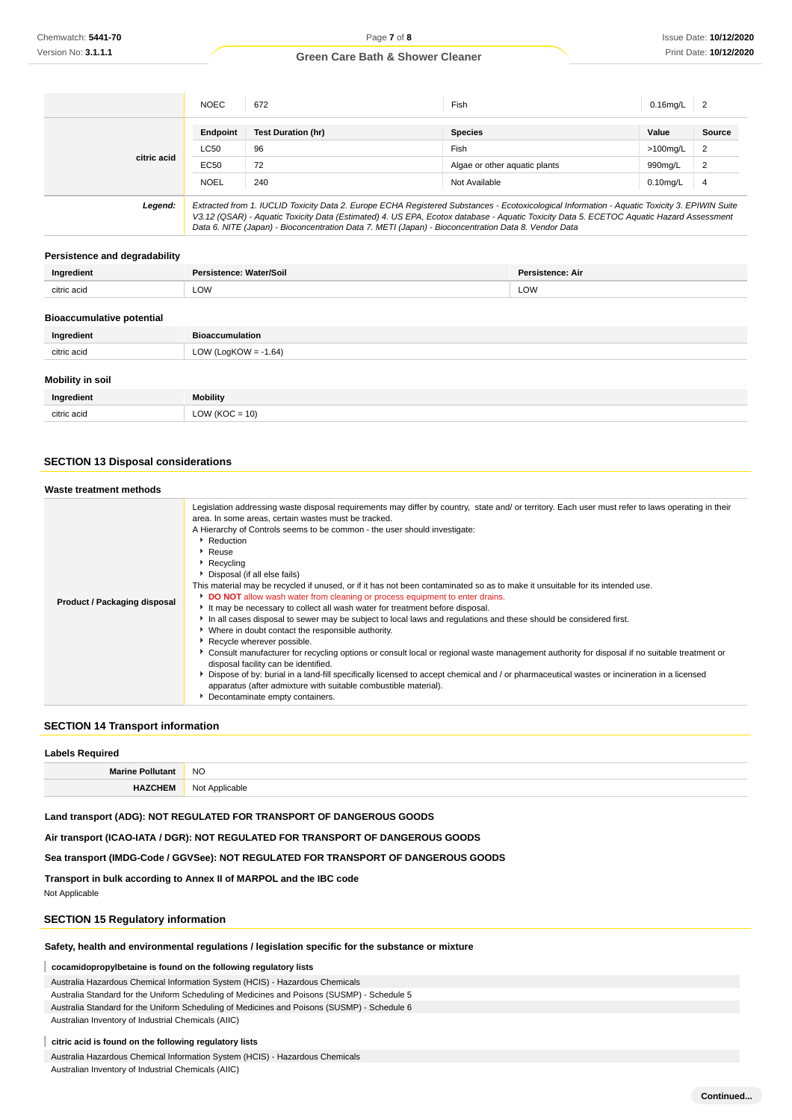|             | <b>NOEC</b> | 672                                                                                                                                           | Fish                          | $0.16$ mg/L | $\overline{2}$ |
|-------------|-------------|-----------------------------------------------------------------------------------------------------------------------------------------------|-------------------------------|-------------|----------------|
|             | Endpoint    | <b>Test Duration (hr)</b>                                                                                                                     | <b>Species</b>                | Value       | Source         |
| citric acid | <b>LC50</b> | 96                                                                                                                                            | <b>Fish</b>                   | $>100$ mg/L | 2              |
|             | EC50        | 72                                                                                                                                            | Algae or other aquatic plants | 990mg/L     | $\overline{2}$ |
|             | <b>NOEL</b> | 240                                                                                                                                           | Not Available                 | $0.10$ mg/L | $\overline{4}$ |
| Legend:     |             | Extracted from 1. IUCLID Toxicity Data 2. Europe ECHA Registered Substances - Ecotoxicological Information - Aquatic Toxicity 3. EPIWIN Suite |                               |             |                |

V3.12 (QSAR) - Aquatic Toxicity Data (Estimated) 4. US EPA, Ecotox database - Aquatic Toxicity Data 5. ECETOC Aquatic Hazard Assessment Data 6. NITE (Japan) - Bioconcentration Data 7. METI (Japan) - Bioconcentration Data 8. Vendor Data

#### **Persistence and degradability**

| Ingredient  | Persistence: Water/Soil | Persistence: Air |
|-------------|-------------------------|------------------|
| citric acid | LOW                     | LOW              |
|             |                         |                  |

#### **Bioaccumulative potential**

| Ingredient              | <b>Bioaccumulation</b> |
|-------------------------|------------------------|
| citric acid             | LOW (LogKOW = -1.64)   |
| <b>Mobility in soil</b> |                        |

| ווטכּ ווו עטווועטוזו |                  |
|----------------------|------------------|
| Ingredient           | <b>Mobility</b>  |
| citric acid          | $LOW (KOC = 10)$ |

### **SECTION 13 Disposal considerations**

| Waste treatment methods      |                                                                                                                                                                                                                                                                                                                                                                                                                                                                                                                                                                                                                                                                                                                                                                                                                                                                                                                                                                                                                                                                                                                                                                                                                                                                                                                                      |
|------------------------------|--------------------------------------------------------------------------------------------------------------------------------------------------------------------------------------------------------------------------------------------------------------------------------------------------------------------------------------------------------------------------------------------------------------------------------------------------------------------------------------------------------------------------------------------------------------------------------------------------------------------------------------------------------------------------------------------------------------------------------------------------------------------------------------------------------------------------------------------------------------------------------------------------------------------------------------------------------------------------------------------------------------------------------------------------------------------------------------------------------------------------------------------------------------------------------------------------------------------------------------------------------------------------------------------------------------------------------------|
| Product / Packaging disposal | Legislation addressing waste disposal requirements may differ by country, state and/ or territory. Each user must refer to laws operating in their<br>area. In some areas, certain wastes must be tracked.<br>A Hierarchy of Controls seems to be common - the user should investigate:<br>Reduction<br>$\triangleright$ Reuse<br>▶ Recycling<br>Disposal (if all else fails)<br>This material may be recycled if unused, or if it has not been contaminated so as to make it unsuitable for its intended use.<br>DO NOT allow wash water from cleaning or process equipment to enter drains.<br>It may be necessary to collect all wash water for treatment before disposal.<br>In all cases disposal to sewer may be subject to local laws and regulations and these should be considered first.<br>• Where in doubt contact the responsible authority.<br>▶ Recycle wherever possible.<br>Consult manufacturer for recycling options or consult local or regional waste management authority for disposal if no suitable treatment or<br>disposal facility can be identified.<br>Dispose of by: burial in a land-fill specifically licensed to accept chemical and / or pharmaceutical wastes or incineration in a licensed<br>apparatus (after admixture with suitable combustible material).<br>Decontaminate empty containers. |

### **SECTION 14 Transport information**

| <b>Labels Required</b>  |                |  |
|-------------------------|----------------|--|
| <b>Marine Pollutant</b> | <b>NO</b>      |  |
| <b>HAZCHEM</b>          | Not Applicable |  |

#### **Land transport (ADG): NOT REGULATED FOR TRANSPORT OF DANGEROUS GOODS**

**Air transport (ICAO-IATA / DGR): NOT REGULATED FOR TRANSPORT OF DANGEROUS GOODS**

### **Sea transport (IMDG-Code / GGVSee): NOT REGULATED FOR TRANSPORT OF DANGEROUS GOODS**

**Transport in bulk according to Annex II of MARPOL and the IBC code**

Not Applicable

### **SECTION 15 Regulatory information**

#### **Safety, health and environmental regulations / legislation specific for the substance or mixture**

### **cocamidopropylbetaine is found on the following regulatory lists**

Australia Hazardous Chemical Information System (HCIS) - Hazardous Chemicals

Australia Standard for the Uniform Scheduling of Medicines and Poisons (SUSMP) - Schedule 5

Australia Standard for the Uniform Scheduling of Medicines and Poisons (SUSMP) - Schedule 6

Australian Inventory of Industrial Chemicals (AIIC)

#### **citric acid is found on the following regulatory lists**

Australia Hazardous Chemical Information System (HCIS) - Hazardous Chemicals Australian Inventory of Industrial Chemicals (AIIC)